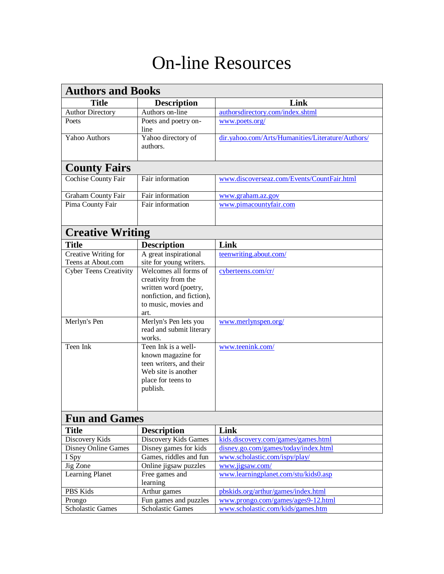## On-line Resources

| <b>Authors and Books</b>      |                                                                                                                                    |                                                   |  |  |  |
|-------------------------------|------------------------------------------------------------------------------------------------------------------------------------|---------------------------------------------------|--|--|--|
| <b>Title</b>                  | <b>Description</b>                                                                                                                 | Link                                              |  |  |  |
| <b>Author Directory</b>       | Authors on-line                                                                                                                    | authorsdirectory.com/index.shtml                  |  |  |  |
| Poets                         | Poets and poetry on-<br>line                                                                                                       | www.poets.org/                                    |  |  |  |
| Yahoo Authors                 | Yahoo directory of<br>authors.                                                                                                     | dir.yahoo.com/Arts/Humanities/Literature/Authors/ |  |  |  |
| <b>County Fairs</b>           |                                                                                                                                    |                                                   |  |  |  |
| Cochise County Fair           | Fair information                                                                                                                   | www.discoverseaz.com/Events/CountFair.html        |  |  |  |
| <b>Graham County Fair</b>     | Fair information                                                                                                                   | www.graham.az.gov                                 |  |  |  |
| Pima County Fair              | Fair information                                                                                                                   | www.pimacountyfair.com                            |  |  |  |
| <b>Creative Writing</b>       |                                                                                                                                    |                                                   |  |  |  |
| <b>Title</b>                  | <b>Description</b>                                                                                                                 | Link                                              |  |  |  |
| Creative Writing for          | A great inspirational                                                                                                              | teenwriting.about.com/                            |  |  |  |
| Teens at About.com            | site for young writers.                                                                                                            |                                                   |  |  |  |
| <b>Cyber Teens Creativity</b> | Welcomes all forms of<br>creativity from the<br>written word (poetry,<br>nonfiction, and fiction),<br>to music, movies and<br>art. | cyberteens.com/cr/                                |  |  |  |
| Merlyn's Pen                  | Merlyn's Pen lets you<br>read and submit literary<br>works.                                                                        | www.merlynspen.org/                               |  |  |  |
| Teen Ink                      | Teen Ink is a well-<br>known magazine for<br>teen writers, and their<br>Web site is another<br>place for teens to<br>publish.      | www.teenink.com/                                  |  |  |  |
|                               | <b>Fun and Games</b>                                                                                                               |                                                   |  |  |  |
| <b>Title</b>                  | <b>Description</b>                                                                                                                 | Link                                              |  |  |  |
| Discovery Kids                | Discovery Kids Games                                                                                                               | kids.discovery.com/games/games.html               |  |  |  |
| <b>Disney Online Games</b>    | Disney games for kids                                                                                                              | disney.go.com/games/today/index.html              |  |  |  |
| I Spy                         | Games, riddles and fun                                                                                                             | www.scholastic.com/ispy/play/                     |  |  |  |
| Jig Zone                      | Online jigsaw puzzles                                                                                                              | www.jigsaw.com/                                   |  |  |  |
| <b>Learning Planet</b>        | Free games and                                                                                                                     | www.learningplanet.com/stu/kids0.asp              |  |  |  |
|                               | learning                                                                                                                           |                                                   |  |  |  |
| PBS Kids                      | Arthur games                                                                                                                       | pbskids.org/arthur/games/index.html               |  |  |  |
| Prongo                        | Fun games and puzzles                                                                                                              | www.prongo.com/games/ages9-12.html                |  |  |  |
| <b>Scholastic Games</b>       | <b>Scholastic Games</b>                                                                                                            | www.scholastic.com/kids/games.htm                 |  |  |  |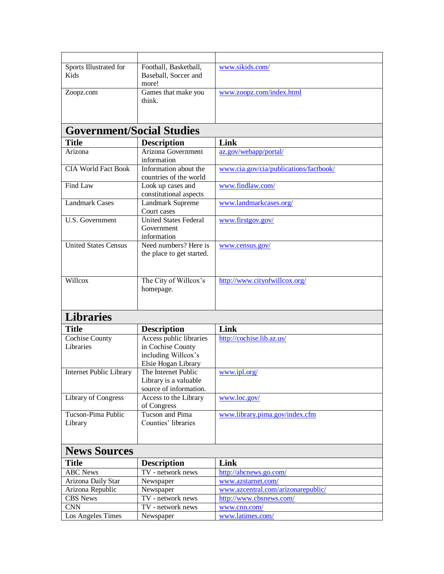| Sports Illustrated for<br>Kids   | Football, Basketball,<br>Baseball, Soccer and<br>more!                                     | www.sikids.com/                        |  |  |
|----------------------------------|--------------------------------------------------------------------------------------------|----------------------------------------|--|--|
| Zoopz.com                        | Games that make you<br>think.                                                              | www.zoopz.com/index.html               |  |  |
| <b>Government/Social Studies</b> |                                                                                            |                                        |  |  |
| <b>Title</b>                     | <b>Description</b>                                                                         | Link                                   |  |  |
| Arizona                          | Arizona Government<br>information                                                          | az.gov/webapp/portal/                  |  |  |
| <b>CIA World Fact Book</b>       | Information about the<br>countries of the world                                            | www.cia.gov/cia/publications/factbook/ |  |  |
| Find Law                         | Look up cases and<br>constitutional aspects                                                | www.findlaw.com/                       |  |  |
| <b>Landmark Cases</b>            | Landmark Supreme<br>Court cases                                                            | www.landmarkcases.org/                 |  |  |
| U.S. Government                  | <b>United States Federal</b><br>Government<br>information                                  | www.firstgov.gov/                      |  |  |
| <b>United States Census</b>      | Need numbers? Here is<br>the place to get started.                                         | www.census.gov/                        |  |  |
| Willcox                          | The City of Willcox's<br>homepage.                                                         | http://www.cityofwillcox.org/          |  |  |
| <b>Libraries</b>                 |                                                                                            |                                        |  |  |
| <b>Title</b>                     | <b>Description</b>                                                                         | Link                                   |  |  |
| Cochise County<br>Libraries      | Access public libraries<br>in Cochise County<br>including Willcox's<br>Elsie Hogan Library | http://cochise.lib.az.us/              |  |  |
| Internet Public Library          | The Internet Public<br>Library is a valuable<br>source of information.                     | www.ipl.org/                           |  |  |
| Library of Congress              | Access to the Library<br>of Congress                                                       | www.loc.gov/                           |  |  |
| Tucson-Pima Public<br>Library    | Tucson and Pima<br>Counties' libraries                                                     | www.library.pima.gov/index.cfm         |  |  |
| <b>News Sources</b>              |                                                                                            |                                        |  |  |
| <b>Title</b>                     | <b>Description</b>                                                                         | Link                                   |  |  |
| <b>ABC</b> News                  | TV - network news                                                                          | http://abcnews.go.com/                 |  |  |
| Arizona Daily Star               | Newspaper                                                                                  | www.azstarnet.com/                     |  |  |
| Arizona Republic                 | Newspaper                                                                                  | www.azcentral.com/arizonarepublic/     |  |  |
| <b>CBS</b> News                  | TV - network news                                                                          | http://www.cbsnews.com/                |  |  |
| <b>CNN</b>                       | TV - network news                                                                          | www.cnn.com/                           |  |  |
| Los Angeles Times                | Newspaper                                                                                  | www.latimes.com/                       |  |  |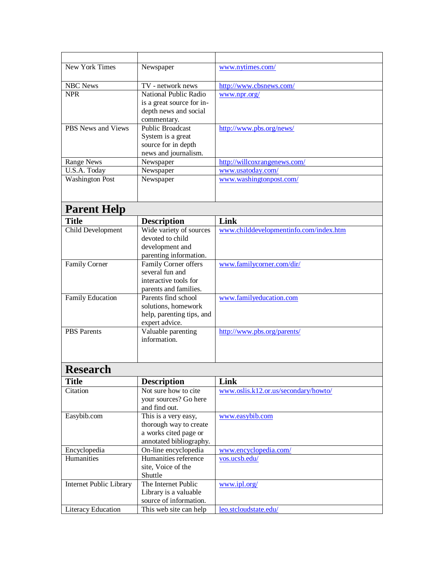| New York Times            | Newspaper                                   | www.nytimes.com/                       |
|---------------------------|---------------------------------------------|----------------------------------------|
|                           |                                             |                                        |
| <b>NBC News</b>           | TV - network news                           | http://www.cbsnews.com/                |
| <b>NPR</b>                | National Public Radio                       | www.npr.org/                           |
|                           | is a great source for in-                   |                                        |
|                           | depth news and social                       |                                        |
|                           | commentary.                                 |                                        |
| <b>PBS</b> News and Views | <b>Public Broadcast</b>                     | http://www.pbs.org/news/               |
|                           | System is a great                           |                                        |
|                           | source for in depth                         |                                        |
|                           | news and journalism.                        |                                        |
| Range News                | Newspaper                                   | http://willcoxrangenews.com/           |
| U.S.A. Today              | Newspaper                                   | www.usatoday.com/                      |
| <b>Washington Post</b>    | Newspaper                                   | www.washingtonpost.com/                |
|                           |                                             |                                        |
|                           |                                             |                                        |
| <b>Parent Help</b>        |                                             |                                        |
|                           |                                             |                                        |
| <b>Title</b>              | <b>Description</b>                          | Link                                   |
| Child Development         | Wide variety of sources                     | www.childdevelopmentinfo.com/index.htm |
|                           | devoted to child                            |                                        |
|                           | development and                             |                                        |
|                           | parenting information.                      |                                        |
| <b>Family Corner</b>      | Family Corner offers                        | www.familycorner.com/dir/              |
|                           | several fun and                             |                                        |
|                           | interactive tools for                       |                                        |
|                           | parents and families.                       |                                        |
| <b>Family Education</b>   | Parents find school                         | www.familyeducation.com                |
|                           | solutions, homework                         |                                        |
|                           | help, parenting tips, and<br>expert advice. |                                        |
| <b>PBS</b> Parents        | Valuable parenting                          | http://www.pbs.org/parents/            |
|                           | information.                                |                                        |
|                           |                                             |                                        |
|                           |                                             |                                        |
|                           |                                             |                                        |
| <b>Research</b>           |                                             |                                        |
| <b>Title</b>              | <b>Description</b>                          | Link                                   |
| Citation                  | Not sure how to cite                        | www.oslis.k12.or.us/secondary/howto/   |
|                           | your sources? Go here                       |                                        |
|                           | and find out.                               |                                        |
| Easybib.com               | This is a very easy,                        | www.easybib.com                        |
|                           | thorough way to create                      |                                        |
|                           | a works cited page or                       |                                        |
|                           | annotated bibliography.                     |                                        |
| Encyclopedia              | On-line encyclopedia                        | www.encyclopedia.com/                  |
| Humanities                | Humanities reference                        | vos.ucsb.edu/                          |
|                           | site, Voice of the                          |                                        |
|                           | Shuttle                                     |                                        |
| Internet Public Library   | The Internet Public                         | www.ipl.org/                           |
|                           | Library is a valuable                       |                                        |
|                           | source of information.                      |                                        |
| Literacy Education        | This web site can help                      | leo.stcloudstate.edu/                  |